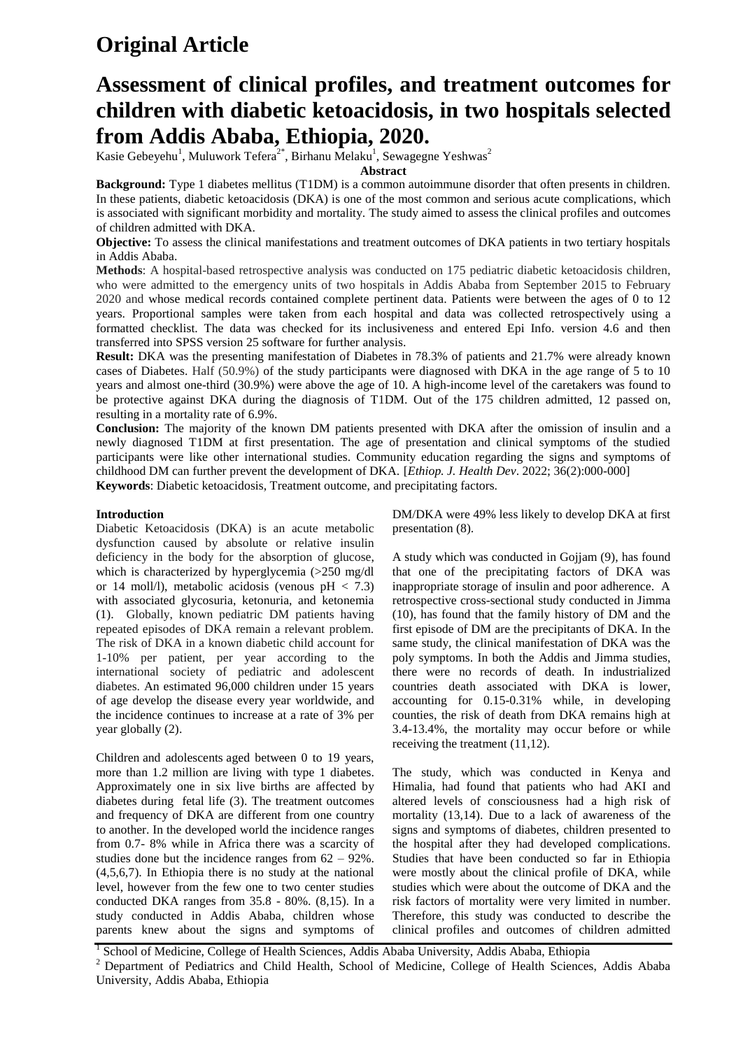# **Original Article**

## **Assessment of clinical profiles, and treatment outcomes for children with diabetic ketoacidosis, in two hospitals selected from Addis Ababa, Ethiopia, 2020.**

Kasie Gebeyehu<sup>1</sup>, Muluwork Tefera<sup>2\*</sup>, Birhanu Melaku<sup>1</sup>, Sewagegne Yeshwas<sup>2</sup>

**Abstract**

**Background:** Type 1 diabetes mellitus (T1DM) is a common autoimmune disorder that often presents in children. In these patients, diabetic ketoacidosis (DKA) is one of the most common and serious acute complications, which is associated with significant morbidity and mortality. The study aimed to assess the clinical profiles and outcomes of children admitted with DKA.

**Objective:** To assess the clinical manifestations and treatment outcomes of DKA patients in two tertiary hospitals in Addis Ababa.

**Methods**: A hospital-based retrospective analysis was conducted on 175 pediatric diabetic ketoacidosis children, who were admitted to the emergency units of two hospitals in Addis Ababa from September 2015 to February 2020 and whose medical records contained complete pertinent data. Patients were between the ages of 0 to 12 years. Proportional samples were taken from each hospital and data was collected retrospectively using a formatted checklist. The data was checked for its inclusiveness and entered Epi Info. version 4.6 and then transferred into SPSS version 25 software for further analysis.

**Result:** DKA was the presenting manifestation of Diabetes in 78.3% of patients and 21.7% were already known cases of Diabetes. Half (50.9%) of the study participants were diagnosed with DKA in the age range of 5 to 10 years and almost one-third (30.9%) were above the age of 10. A high-income level of the caretakers was found to be protective against DKA during the diagnosis of T1DM. Out of the 175 children admitted, 12 passed on, resulting in a mortality rate of 6.9%.

**Conclusion:** The majority of the known DM patients presented with DKA after the omission of insulin and a newly diagnosed T1DM at first presentation. The age of presentation and clinical symptoms of the studied participants were like other international studies. Community education regarding the signs and symptoms of childhood DM can further prevent the development of DKA. [*Ethiop. J. Health Dev*. 2022; 36(2):000-000] **Keywords**: Diabetic ketoacidosis, Treatment outcome, and precipitating factors.

## **Introduction**

Diabetic Ketoacidosis (DKA) is an acute metabolic dysfunction caused by absolute or relative insulin deficiency in the body for the absorption of glucose, which is characterized by hyperglycemia (>250 mg/dl or 14 moll/l), metabolic acidosis (venous  $pH < 7.3$ ) with associated glycosuria, ketonuria, and ketonemia (1). Globally, known pediatric DM patients having repeated episodes of DKA remain a relevant problem. The risk of DKA in a known diabetic child account for 1-10% per patient, per year according to the international society of pediatric and adolescent diabetes. An estimated 96,000 children under 15 years of age develop the disease every year worldwide, and the incidence continues to increase at a rate of 3% per year globally (2).

Children and adolescents aged between 0 to 19 years, more than 1.2 million are living with type 1 diabetes. Approximately one in six live births are affected by diabetes during fetal life (3). The treatment outcomes and frequency of DKA are different from one country to another. In the developed world the incidence ranges from 0.7- 8% while in Africa there was a scarcity of studies done but the incidence ranges from  $62 - 92\%$ . (4,5,6,7). In Ethiopia there is no study at the national level, however from the few one to two center studies conducted DKA ranges from 35.8 - 80%. (8,15). In a study conducted in Addis Ababa, children whose parents knew about the signs and symptoms of DM/DKA were 49% less likely to develop DKA at first presentation (8).

A study which was conducted in Gojjam (9), has found that one of the precipitating factors of DKA was inappropriate storage of insulin and poor adherence. A retrospective cross-sectional study conducted in Jimma (10), has found that the family history of DM and the first episode of DM are the precipitants of DKA. In the same study, the clinical manifestation of DKA was the poly symptoms. In both the Addis and Jimma studies, there were no records of death. In industrialized countries death associated with DKA is lower, accounting for 0.15-0.31% while, in developing counties, the risk of death from DKA remains high at 3.4-13.4%, the mortality may occur before or while receiving the treatment (11,12).

The study, which was conducted in Kenya and Himalia, had found that patients who had AKI and altered levels of consciousness had a high risk of mortality (13,14). Due to a lack of awareness of the signs and symptoms of diabetes, children presented to the hospital after they had developed complications. Studies that have been conducted so far in Ethiopia were mostly about the clinical profile of DKA, while studies which were about the outcome of DKA and the risk factors of mortality were very limited in number. Therefore, this study was conducted to describe the clinical profiles and outcomes of children admitted

<sup>1</sup> School of Medicine, College of Health Sciences, Addis Ababa University, Addis Ababa, Ethiopia <sup>2</sup> Department of Pediatrics and Child Health, School of Medicine, College of Health Sciences, Addis Ababa University, Addis Ababa, Ethiopia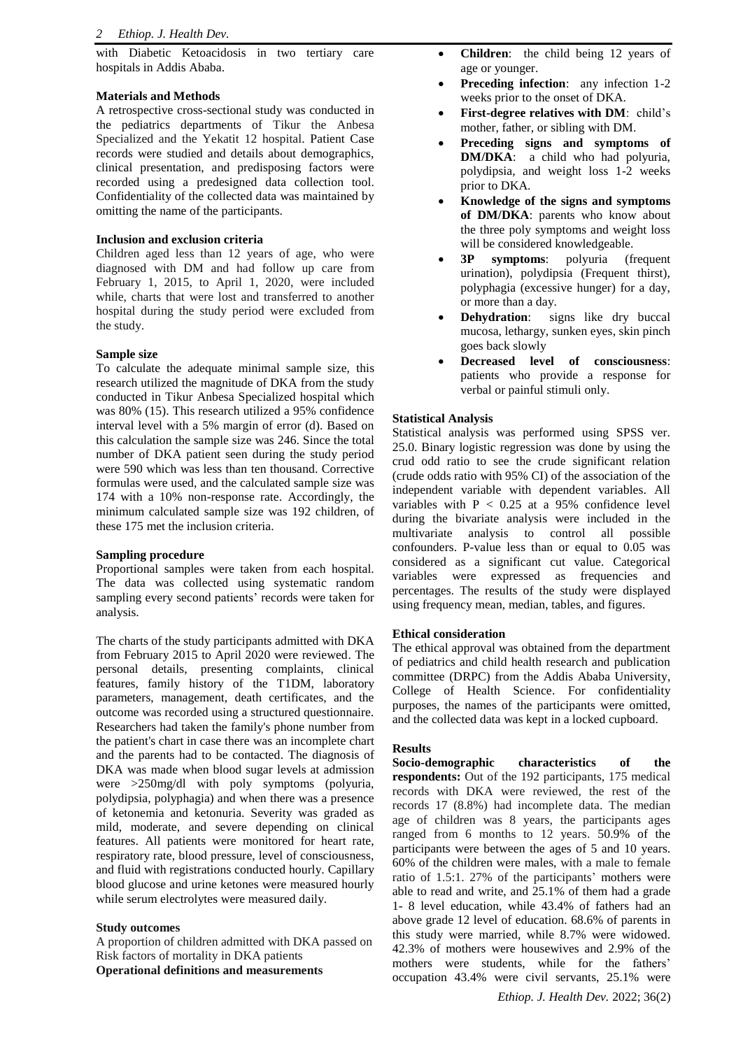with Diabetic Ketoacidosis in two tertiary care hospitals in Addis Ababa.

## **Materials and Methods**

A retrospective cross-sectional study was conducted in the pediatrics departments of Tikur the Anbesa Specialized and the Yekatit 12 hospital. Patient Case records were studied and details about demographics, clinical presentation, and predisposing factors were recorded using a predesigned data collection tool. Confidentiality of the collected data was maintained by omitting the name of the participants.

## **Inclusion and exclusion criteria**

Children aged less than 12 years of age, who were diagnosed with DM and had follow up care from February 1, 2015, to April 1, 2020, were included while, charts that were lost and transferred to another hospital during the study period were excluded from the study.

## **Sample size**

To calculate the adequate minimal sample size, this research utilized the magnitude of DKA from the study conducted in Tikur Anbesa Specialized hospital which was 80% (15). This research utilized a 95% confidence interval level with a 5% margin of error (d). Based on this calculation the sample size was 246. Since the total number of DKA patient seen during the study period were 590 which was less than ten thousand. Corrective formulas were used, and the calculated sample size was 174 with a 10% non-response rate. Accordingly, the minimum calculated sample size was 192 children, of these 175 met the inclusion criteria.

## **Sampling procedure**

Proportional samples were taken from each hospital. The data was collected using systematic random sampling every second patients' records were taken for analysis.

The charts of the study participants admitted with DKA from February 2015 to April 2020 were reviewed. The personal details, presenting complaints, clinical features, family history of the T1DM, laboratory parameters, management, death certificates, and the outcome was recorded using a structured questionnaire. Researchers had taken the family's phone number from the patient's chart in case there was an incomplete chart and the parents had to be contacted. The diagnosis of DKA was made when blood sugar levels at admission were >250mg/dl with poly symptoms (polyuria, polydipsia, polyphagia) and when there was a presence of ketonemia and ketonuria. Severity was graded as mild, moderate, and severe depending on clinical features. All patients were monitored for heart rate, respiratory rate, blood pressure, level of consciousness, and fluid with registrations conducted hourly. Capillary blood glucose and urine ketones were measured hourly while serum electrolytes were measured daily.

## **Study outcomes**

A proportion of children admitted with DKA passed on Risk factors of mortality in DKA patients **Operational definitions and measurements**

- **Children**: the child being 12 years of age or younger.
- **Preceding infection:** any infection 1-2 weeks prior to the onset of DKA.
- **First-degree relatives with DM**: child's mother, father, or sibling with DM.
- **Preceding signs and symptoms of DM/DKA**: a child who had polyuria, polydipsia, and weight loss 1-2 weeks prior to DKA.
- **Knowledge of the signs and symptoms of DM/DKA**: parents who know about the three poly symptoms and weight loss will be considered knowledgeable.
- **3P symptoms**: polyuria (frequent urination), polydipsia (Frequent thirst), polyphagia (excessive hunger) for a day, or more than a day.
- **Dehydration**: signs like dry buccal mucosa, lethargy, sunken eyes, skin pinch goes back slowly
- **Decreased level of consciousness**: patients who provide a response for verbal or painful stimuli only.

## **Statistical Analysis**

Statistical analysis was performed using SPSS ver. 25.0. Binary logistic regression was done by using the crud odd ratio to see the crude significant relation (crude odds ratio with 95% CI) of the association of the independent variable with dependent variables. All variables with  $P < 0.25$  at a 95% confidence level during the bivariate analysis were included in the multivariate analysis to control all possible confounders. P-value less than or equal to 0.05 was considered as a significant cut value. Categorical variables were expressed as frequencies and percentages. The results of the study were displayed using frequency mean, median, tables, and figures.

## **Ethical consideration**

The ethical approval was obtained from the department of pediatrics and child health research and publication committee (DRPC) from the Addis Ababa University, College of Health Science. For confidentiality purposes, the names of the participants were omitted, and the collected data was kept in a locked cupboard.

## **Results**

**Socio-demographic characteristics of the respondents:** Out of the 192 participants, 175 medical records with DKA were reviewed, the rest of the records 17 (8.8%) had incomplete data. The median age of children was 8 years, the participants ages ranged from 6 months to 12 years. 50.9% of the participants were between the ages of 5 and 10 years. 60% of the children were males, with a male to female ratio of 1.5:1. 27% of the participants' mothers were able to read and write, and 25.1% of them had a grade 1- 8 level education, while 43.4% of fathers had an above grade 12 level of education. 68.6% of parents in this study were married, while 8.7% were widowed. 42.3% of mothers were housewives and 2.9% of the mothers were students, while for the fathers' occupation 43.4% were civil servants, 25.1% were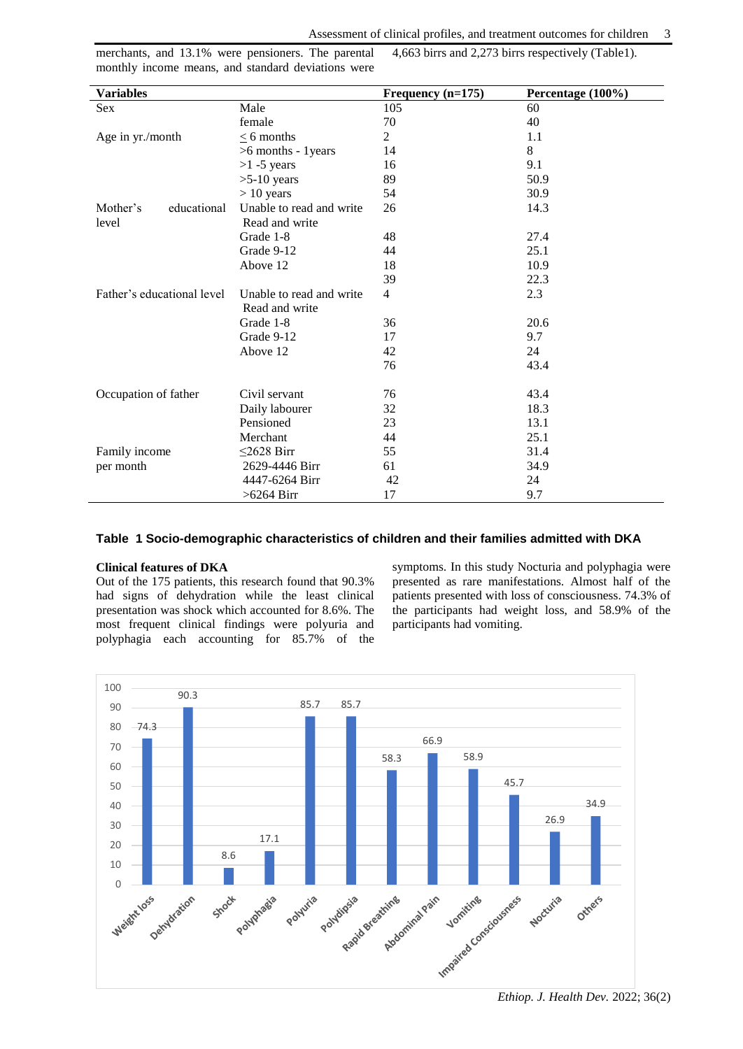merchants, and 13.1% were pensioners. The parental monthly income means, and standard deviations were

4,663 birrs and 2,273 birrs respectively (Table1).

| <b>Variables</b>           |                          | Frequency $(n=175)$ | Percentage (100%) |
|----------------------------|--------------------------|---------------------|-------------------|
| Sex                        | Male                     | 105                 | 60                |
|                            | female                   | 70                  | 40                |
| Age in yr./month           | $<$ 6 months             | 2                   | 1.1               |
|                            | >6 months - 1 years      | 14                  | 8                 |
|                            | $>1$ -5 years            | 16                  | 9.1               |
|                            | $>5-10$ years            | 89                  | 50.9              |
|                            | $> 10$ years             | 54                  | 30.9              |
| Mother's<br>educational    | Unable to read and write | 26                  | 14.3              |
| level                      | Read and write           |                     |                   |
|                            | Grade 1-8                | 48                  | 27.4              |
|                            | Grade 9-12               | 44                  | 25.1              |
|                            | Above 12                 | 18                  | 10.9              |
|                            |                          | 39                  | 22.3              |
| Father's educational level | Unable to read and write | $\overline{4}$      | 2.3               |
|                            | Read and write           |                     |                   |
|                            | Grade 1-8                | 36                  | 20.6              |
|                            | Grade 9-12               | 17                  | 9.7               |
|                            | Above 12                 | 42                  | 24                |
|                            |                          | 76                  | 43.4              |
|                            |                          |                     |                   |
| Occupation of father       | Civil servant            | 76                  | 43.4              |
|                            | Daily labourer           | 32                  | 18.3              |
|                            | Pensioned                | 23                  | 13.1              |
|                            | Merchant                 | 44                  | 25.1              |
| Family income              | $\leq$ 2628 Birr         | 55                  | 31.4              |
| per month                  | 2629-4446 Birr           | 61                  | 34.9              |
|                            | 4447-6264 Birr           | 42                  | 24                |
|                            | $>6264$ Birr             | 17                  | 9.7               |

## **Table 1 Socio-demographic characteristics of children and their families admitted with DKA**

#### **Clinical features of DKA**

Out of the 175 patients, this research found that 90.3% had signs of dehydration while the least clinical presentation was shock which accounted for 8.6%. The most frequent clinical findings were polyuria and polyphagia each accounting for 85.7% of the symptoms. In this study Nocturia and polyphagia were presented as rare manifestations. Almost half of the patients presented with loss of consciousness. 74.3% of the participants had weight loss, and 58.9% of the participants had vomiting.



*Ethiop. J. Health Dev.* 2022; 36(2)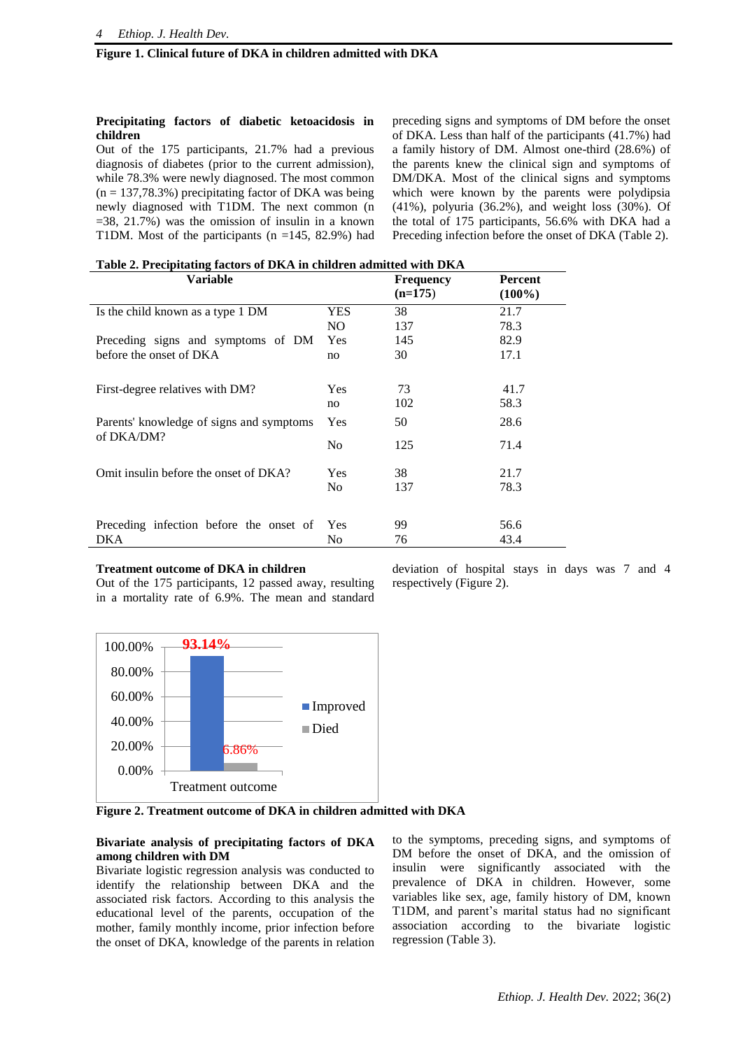## **Figure 1. Clinical future of DKA in children admitted with DKA**

## **Precipitating factors of diabetic ketoacidosis in children**

Out of the 175 participants, 21.7% had a previous diagnosis of diabetes (prior to the current admission), while 78.3% were newly diagnosed. The most common  $(n = 137, 78.3\%)$  precipitating factor of DKA was being newly diagnosed with T1DM. The next common (n  $=38, 21.7\%$ ) was the omission of insulin in a known T1DM. Most of the participants  $(n = 145, 82.9%)$  had preceding signs and symptoms of DM before the onset of DKA. Less than half of the participants (41.7%) had a family history of DM. Almost one-third (28.6%) of the parents knew the clinical sign and symptoms of DM/DKA. Most of the clinical signs and symptoms which were known by the parents were polydipsia (41%), polyuria (36.2%), and weight loss (30%). Of the total of 175 participants, 56.6% with DKA had a Preceding infection before the onset of DKA (Table 2).

**Table 2. Precipitating factors of DKA in children admitted with DKA** 

| Variable                                               |                | <b>Frequency</b><br>$(n=175)$ | <b>Percent</b><br>$(100\%)$ |
|--------------------------------------------------------|----------------|-------------------------------|-----------------------------|
| Is the child known as a type 1 DM                      | YES            | 38                            | 21.7                        |
|                                                        | NO.            | 137                           | 78.3                        |
| Preceding signs and symptoms of DM                     | Yes            | 145                           | 82.9                        |
| before the onset of DKA                                | no             | 30                            | 17.1                        |
|                                                        |                |                               |                             |
| First-degree relatives with DM?                        | <b>Yes</b>     | 73                            | 41.7                        |
|                                                        | no             | 102                           | 58.3                        |
| Parents' knowledge of signs and symptoms<br>of DKA/DM? | Yes            | 50                            | 28.6                        |
|                                                        | N <sub>0</sub> | 125                           | 71.4                        |
| Omit insulin before the onset of DKA?                  | Yes            | 38                            | 21.7                        |
|                                                        | N <sub>0</sub> | 137                           | 78.3                        |
|                                                        |                |                               |                             |
| Preceding infection before the onset of                | Yes            | 99                            | 56.6                        |
| DKA                                                    | No             | 76                            | 43.4                        |

#### **Treatment outcome of DKA in children**

Out of the 175 participants, 12 passed away, resulting in a mortality rate of 6.9%. The mean and standard



respectively (Figure 2).

deviation of hospital stays in days was 7 and 4

**Figure 2. Treatment outcome of DKA in children admitted with DKA** 

## **Bivariate analysis of precipitating factors of DKA among children with DM**

Bivariate logistic regression analysis was conducted to identify the relationship between DKA and the associated risk factors. According to this analysis the educational level of the parents, occupation of the mother, family monthly income, prior infection before the onset of DKA, knowledge of the parents in relation to the symptoms, preceding signs, and symptoms of DM before the onset of DKA, and the omission of insulin were significantly associated with the prevalence of DKA in children. However, some variables like sex, age, family history of DM, known T1DM, and parent's marital status had no significant association according to the bivariate logistic regression (Table 3).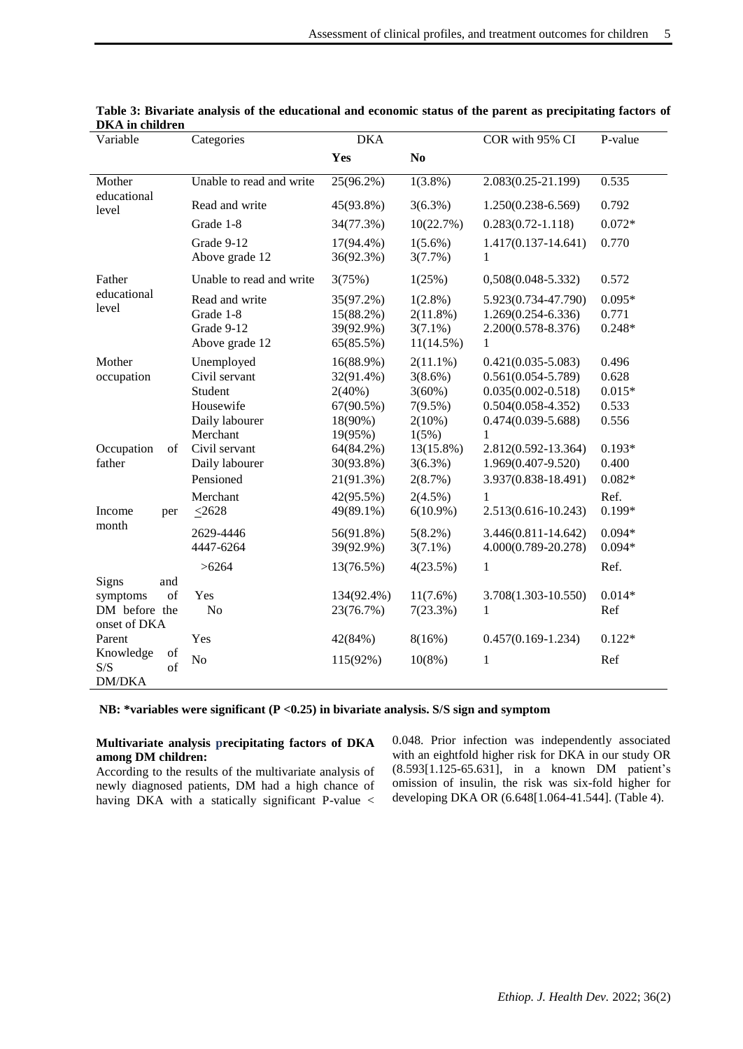| рил ш сшигсш<br>Variable                                        | Categories                                                                        | <b>DKA</b>                                                                |                                                                            | COR with 95% CI                                                                                                                     | P-value                                      |  |
|-----------------------------------------------------------------|-----------------------------------------------------------------------------------|---------------------------------------------------------------------------|----------------------------------------------------------------------------|-------------------------------------------------------------------------------------------------------------------------------------|----------------------------------------------|--|
|                                                                 |                                                                                   | Yes                                                                       | N <sub>0</sub>                                                             |                                                                                                                                     |                                              |  |
| Mother                                                          | Unable to read and write                                                          | 25(96.2%)                                                                 | $1(3.8\%)$                                                                 | 2.083(0.25-21.199)                                                                                                                  | 0.535                                        |  |
| educational<br>level                                            | Read and write                                                                    | 45(93.8%)                                                                 | $3(6.3\%)$                                                                 | $1.250(0.238 - 6.569)$                                                                                                              | 0.792                                        |  |
|                                                                 | Grade 1-8                                                                         | 34(77.3%)                                                                 | 10(22.7%)                                                                  | $0.283(0.72 - 1.118)$                                                                                                               | $0.072*$                                     |  |
|                                                                 | Grade 9-12<br>Above grade 12                                                      | $17(94.4\%)$<br>36(92.3%)                                                 | $1(5.6\%)$<br>3(7.7%)                                                      | $1.417(0.137 - 14.641)$<br>1                                                                                                        | 0.770                                        |  |
| Father                                                          | Unable to read and write                                                          | 3(75%)                                                                    | 1(25%)                                                                     | $0,508(0.048 - 5.332)$                                                                                                              | 0.572                                        |  |
| educational<br>level                                            | Read and write<br>Grade 1-8<br>Grade 9-12<br>Above grade 12                       | 35(97.2%)<br>15(88.2%)<br>39(92.9%)<br>65(85.5%)                          | $1(2.8\%)$<br>2(11.8%)<br>$3(7.1\%)$<br>$11(14.5\%)$                       | 5.923(0.734-47.790)<br>1.269(0.254-6.336)<br>2.200(0.578-8.376)<br>1                                                                | $0.095*$<br>0.771<br>$0.248*$                |  |
| Mother<br>occupation                                            | Unemployed<br>Civil servant<br>Student<br>Housewife<br>Daily labourer<br>Merchant | $16(88.9\%)$<br>32(91.4%)<br>$2(40\%)$<br>67(90.5%)<br>18(90%)<br>19(95%) | $2(11.1\%)$<br>$3(8.6\%)$<br>$3(60\%)$<br>$7(9.5\%)$<br>$2(10\%)$<br>1(5%) | $0.421(0.035 - 5.083)$<br>$0.561(0.054 - 5.789)$<br>$0.035(0.002 - 0.518)$<br>$0.504(0.058 - 4.352)$<br>$0.474(0.039 - 5.688)$<br>1 | 0.496<br>0.628<br>$0.015*$<br>0.533<br>0.556 |  |
| Occupation<br>of<br>father                                      | Civil servant<br>Daily labourer<br>Pensioned                                      | 64(84.2%)<br>30(93.8%)<br>21(91.3%)                                       | $13(15.8\%)$<br>$3(6.3\%)$<br>2(8.7%)                                      | 2.812(0.592-13.364)<br>1.969(0.407-9.520)<br>3.937(0.838-18.491)                                                                    | $0.193*$<br>0.400<br>$0.082*$                |  |
| Income<br>per                                                   | Merchant<br>$\leq 2628$                                                           | 42(95.5%)<br>49(89.1%)                                                    | $2(4.5\%)$<br>$6(10.9\%)$                                                  | 1<br>2.513(0.616-10.243)                                                                                                            | Ref.<br>$0.199*$                             |  |
| month                                                           | 2629-4446<br>4447-6264                                                            | 56(91.8%)<br>39(92.9%)                                                    | $5(8.2\%)$<br>$3(7.1\%)$                                                   | $3.446(0.811 - 14.642)$<br>4.000(0.789-20.278)                                                                                      | $0.094*$<br>$0.094*$                         |  |
|                                                                 | >6264                                                                             | 13(76.5%)                                                                 | 4(23.5%)                                                                   | $\mathbf{1}$                                                                                                                        | Ref.                                         |  |
| Signs<br>and<br>of<br>symptoms<br>DM before the<br>onset of DKA | Yes<br>N <sub>o</sub>                                                             | 134(92.4%)<br>23(76.7%)                                                   | $11(7.6\%)$<br>7(23.3%)                                                    | 3.708(1.303-10.550)<br>$\mathbf{1}$                                                                                                 | $0.014*$<br>Ref                              |  |
| Parent                                                          | Yes                                                                               | 42(84%)                                                                   | 8(16%)                                                                     | $0.457(0.169 - 1.234)$                                                                                                              | $0.122*$                                     |  |
| of<br>Knowledge<br>S/S<br>of<br><b>DM/DKA</b>                   | N <sub>o</sub>                                                                    | 115(92%)                                                                  | $10(8\%)$                                                                  | $\mathbf{1}$                                                                                                                        | Ref                                          |  |

| Table 3: Bivariate analysis of the educational and economic status of the parent as precipitating factors of |  |  |  |
|--------------------------------------------------------------------------------------------------------------|--|--|--|
| DKA in children                                                                                              |  |  |  |

**NB: \*variables were significant (P <0.25) in bivariate analysis. S/S sign and symptom** 

## **Multivariate analysis precipitating factors of DKA among DM children:**

According to the results of the multivariate analysis of newly diagnosed patients, DM had a high chance of having DKA with a statically significant P-value < 0.048. Prior infection was independently associated with an eightfold higher risk for DKA in our study OR (8.593[1.125-65.631], in a known DM patient's omission of insulin, the risk was six-fold higher for developing DKA OR (6.648[1.064-41.544]. (Table 4).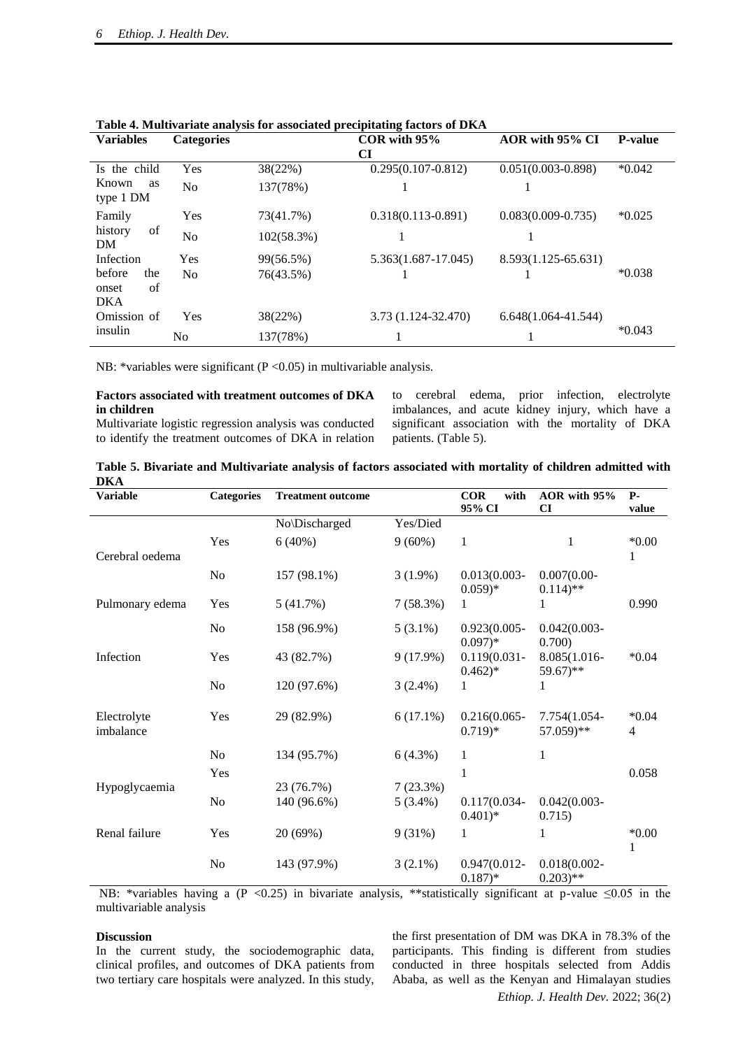|                              |                   |            | Table 4. Multivariate analysis for associated precipitating factors of DIMT |                         |                |  |
|------------------------------|-------------------|------------|-----------------------------------------------------------------------------|-------------------------|----------------|--|
| <b>Variables</b>             | <b>Categories</b> |            | $COR$ with $95%$                                                            |                         | <b>P-value</b> |  |
|                              |                   |            | CI                                                                          |                         |                |  |
| Is the child                 | Yes               | 38(22%)    | $0.295(0.107 - 0.812)$                                                      | $0.051(0.003 - 0.898)$  | $*0.042$       |  |
| Known<br>as<br>type 1 DM     | N <sub>o</sub>    | 137(78%)   |                                                                             |                         |                |  |
| Family                       | Yes               | 73(41.7%)  | $0.318(0.113 - 0.891)$                                                      | $0.083(0.009 - 0.735)$  | $*0.025$       |  |
| of<br>history<br>DM          | N <sub>o</sub>    | 102(58.3%) |                                                                             |                         |                |  |
| Infection                    | Yes               | 99(56.5%)  | 5.363(1.687-17.045)                                                         | 8.593(1.125-65.631)     |                |  |
| before<br>the<br>of<br>onset | N <sub>0</sub>    | 76(43.5%)  |                                                                             |                         | $*0.038$       |  |
| <b>DKA</b>                   |                   |            |                                                                             |                         |                |  |
| Omission of                  | Yes               | 38(22%)    | 3.73 (1.124-32.470)                                                         | $6.648(1.064 - 41.544)$ |                |  |
| insulin                      | N <sub>0</sub>    | 137(78%)   |                                                                             |                         | $*0.043$       |  |

**Table 4. Multivariate analysis for associated precipitating factors of DKA** 

NB: \*variables were significant (P < 0.05) in multivariable analysis.

## **Factors associated with treatment outcomes of DKA in children**

Multivariate logistic regression analysis was conducted to identify the treatment outcomes of DKA in relation to cerebral edema, prior infection, electrolyte imbalances, and acute kidney injury, which have a significant association with the mortality of DKA patients. (Table 5).

| Table 5. Bivariate and Multivariate analysis of factors associated with mortality of children admitted with |  |  |  |
|-------------------------------------------------------------------------------------------------------------|--|--|--|
| <b>DKA</b>                                                                                                  |  |  |  |

| <b>Variable</b>          | <b>Categories</b> | <b>Treatment outcome</b> |             | <b>COR</b><br>with<br>95% CI  | AOR with 95%<br>CI                       | <b>P</b> -<br>value       |
|--------------------------|-------------------|--------------------------|-------------|-------------------------------|------------------------------------------|---------------------------|
|                          |                   | No\Discharged            | Yes/Died    |                               |                                          |                           |
| Cerebral oedema          | Yes               | 6(40%)                   | $9(60\%)$   | $\mathbf{1}$                  | 1                                        | $*0.00*$<br>1             |
|                          | No                | 157 (98.1%)              | $3(1.9\%)$  | $0.013(0.003 -$<br>$(0.059)*$ | $0.007(0.00 -$<br>$0.114$ <sup>**</sup>  |                           |
| Pulmonary edema          | Yes               | 5(41.7%)                 | 7(58.3%)    | 1                             |                                          | 0.990                     |
|                          | No                | 158 (96.9%)              | $5(3.1\%)$  | $0.923(0.005 -$<br>$0.097)*$  | $0.042(0.003 -$<br>0.700)                |                           |
| Infection                | Yes               | 43 (82.7%)               | 9(17.9%)    | $0.119(0.031 -$<br>$0.462)*$  | 8.085(1.016-<br>59.67)**                 | $*0.04$                   |
|                          | No                | 120 (97.6%)              | $3(2.4\%)$  | 1                             |                                          |                           |
| Electrolyte<br>imbalance | Yes               | 29 (82.9%)               | $6(17.1\%)$ | $0.216(0.065 -$<br>$0.719)*$  | 7.754(1.054-<br>57.059)**                | $*0.04$<br>$\overline{4}$ |
|                          | No                | 134 (95.7%)              | 6(4.3%)     | 1                             | 1                                        |                           |
| Hypoglycaemia            | Yes               | 23 (76.7%)               | 7(23.3%)    | $\mathbf{1}$                  |                                          | 0.058                     |
|                          | N <sub>o</sub>    | 140 (96.6%)              | $5(3.4\%)$  | $0.117(0.034 -$<br>$(0.401)*$ | $0.042(0.003 -$<br>0.715)                |                           |
| Renal failure            | Yes               | 20 (69%)                 | 9(31%)      | $\mathbf{1}$                  | 1                                        | $*0.00*$<br>1             |
|                          | No                | 143 (97.9%)              | $3(2.1\%)$  | $0.947(0.012 -$<br>$0.187)*$  | $0.018(0.002 -$<br>$0.203$ <sup>**</sup> |                           |

NB: \*variables having a (P <0.25) in bivariate analysis, \*\*statistically significant at p-value  $\leq 0.05$  in the multivariable analysis

#### **Discussion**

In the current study, the sociodemographic data, clinical profiles, and outcomes of DKA patients from two tertiary care hospitals were analyzed. In this study, the first presentation of DM was DKA in 78.3% of the participants. This finding is different from studies conducted in three hospitals selected from Addis Ababa, as well as the Kenyan and Himalayan studies

*Ethiop. J. Health Dev.* 2022; 36(2)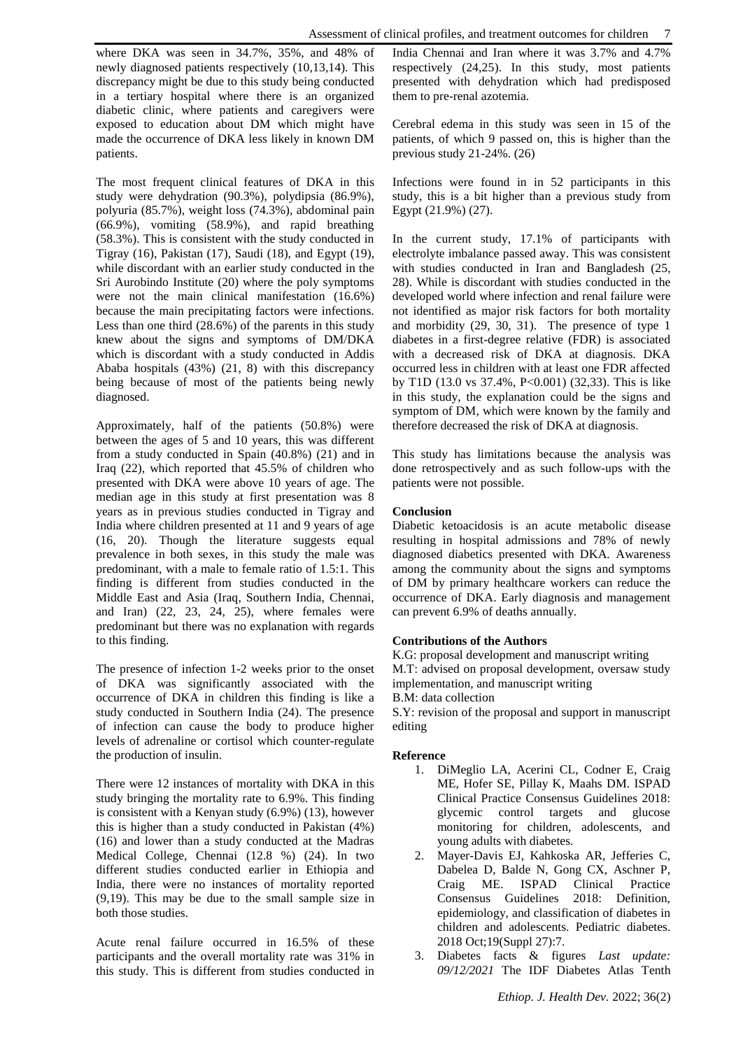where DKA was seen in 34.7%, 35%, and 48% of newly diagnosed patients respectively (10,13,14). This discrepancy might be due to this study being conducted in a tertiary hospital where there is an organized diabetic clinic, where patients and caregivers were exposed to education about DM which might have made the occurrence of DKA less likely in known DM patients.

The most frequent clinical features of DKA in this study were dehydration (90.3%), polydipsia (86.9%), polyuria (85.7%), weight loss (74.3%), abdominal pain (66.9%), vomiting (58.9%), and rapid breathing (58.3%). This is consistent with the study conducted in Tigray (16), Pakistan (17), Saudi (18), and Egypt (19), while discordant with an earlier study conducted in the Sri Aurobindo Institute (20) where the poly symptoms were not the main clinical manifestation (16.6%) because the main precipitating factors were infections. Less than one third (28.6%) of the parents in this study knew about the signs and symptoms of DM/DKA which is discordant with a study conducted in Addis Ababa hospitals (43%) (21, 8) with this discrepancy being because of most of the patients being newly diagnosed.

Approximately, half of the patients (50.8%) were between the ages of 5 and 10 years, this was different from a study conducted in Spain (40.8%) (21) and in Iraq (22), which reported that 45.5% of children who presented with DKA were above 10 years of age. The median age in this study at first presentation was 8 years as in previous studies conducted in Tigray and India where children presented at 11 and 9 years of age (16, 20). Though the literature suggests equal prevalence in both sexes, in this study the male was predominant, with a male to female ratio of 1.5:1. This finding is different from studies conducted in the Middle East and Asia (Iraq, Southern India, Chennai, and Iran) (22, 23, 24, 25), where females were predominant but there was no explanation with regards to this finding.

The presence of infection 1-2 weeks prior to the onset of DKA was significantly associated with the occurrence of DKA in children this finding is like a study conducted in Southern India (24). The presence of infection can cause the body to produce higher levels of adrenaline or cortisol which counter-regulate the production of insulin.

There were 12 instances of mortality with DKA in this study bringing the mortality rate to 6.9%. This finding is consistent with a Kenyan study (6.9%) (13), however this is higher than a study conducted in Pakistan (4%) (16) and lower than a study conducted at the Madras Medical College, Chennai (12.8 %) (24). In two different studies conducted earlier in Ethiopia and India, there were no instances of mortality reported (9,19). This may be due to the small sample size in both those studies.

Acute renal failure occurred in 16.5% of these participants and the overall mortality rate was 31% in this study. This is different from studies conducted in

India Chennai and Iran where it was 3.7% and 4.7% respectively (24,25). In this study, most patients presented with dehydration which had predisposed them to pre-renal azotemia.

Cerebral edema in this study was seen in 15 of the patients, of which 9 passed on, this is higher than the previous study 21-24%. (26)

Infections were found in in 52 participants in this study, this is a bit higher than a previous study from Egypt (21.9%) (27).

In the current study, 17.1% of participants with electrolyte imbalance passed away. This was consistent with studies conducted in Iran and Bangladesh (25, 28). While is discordant with studies conducted in the developed world where infection and renal failure were not identified as major risk factors for both mortality and morbidity (29, 30, 31). The presence of type 1 diabetes in a first-degree relative (FDR) is associated with a decreased risk of DKA at diagnosis. DKA occurred less in children with at least one FDR affected by T1D (13.0 vs 37.4%, P<0.001) (32,33). This is like in this study, the explanation could be the signs and symptom of DM, which were known by the family and therefore decreased the risk of DKA at diagnosis.

This study has limitations because the analysis was done retrospectively and as such follow-ups with the patients were not possible.

## **Conclusion**

Diabetic ketoacidosis is an acute metabolic disease resulting in hospital admissions and 78% of newly diagnosed diabetics presented with DKA. Awareness among the community about the signs and symptoms of DM by primary healthcare workers can reduce the occurrence of DKA. Early diagnosis and management can prevent 6.9% of deaths annually.

#### **Contributions of the Authors**

K.G: proposal development and manuscript writing M.T: advised on proposal development, oversaw study implementation, and manuscript writing B.M: data collection

S.Y: revision of the proposal and support in manuscript editing

#### **Reference**

- 1. DiMeglio LA, Acerini CL, Codner E, Craig ME, Hofer SE, Pillay K, Maahs DM. ISPAD Clinical Practice Consensus Guidelines 2018: glycemic control targets and glucose monitoring for children, adolescents, and young adults with diabetes.
- 2. Mayer-Davis EJ, Kahkoska AR, Jefferies C, Dabelea D, Balde N, Gong CX, Aschner P, Craig ME. ISPAD Clinical Practice Consensus Guidelines 2018: Definition, epidemiology, and classification of diabetes in children and adolescents. Pediatric diabetes. 2018 Oct;19(Suppl 27):7.
- 3. Diabetes facts & figures *Last update: 09/12/2021* The [IDF Diabetes Atlas Tenth](http://www.diabetesatlas.org/)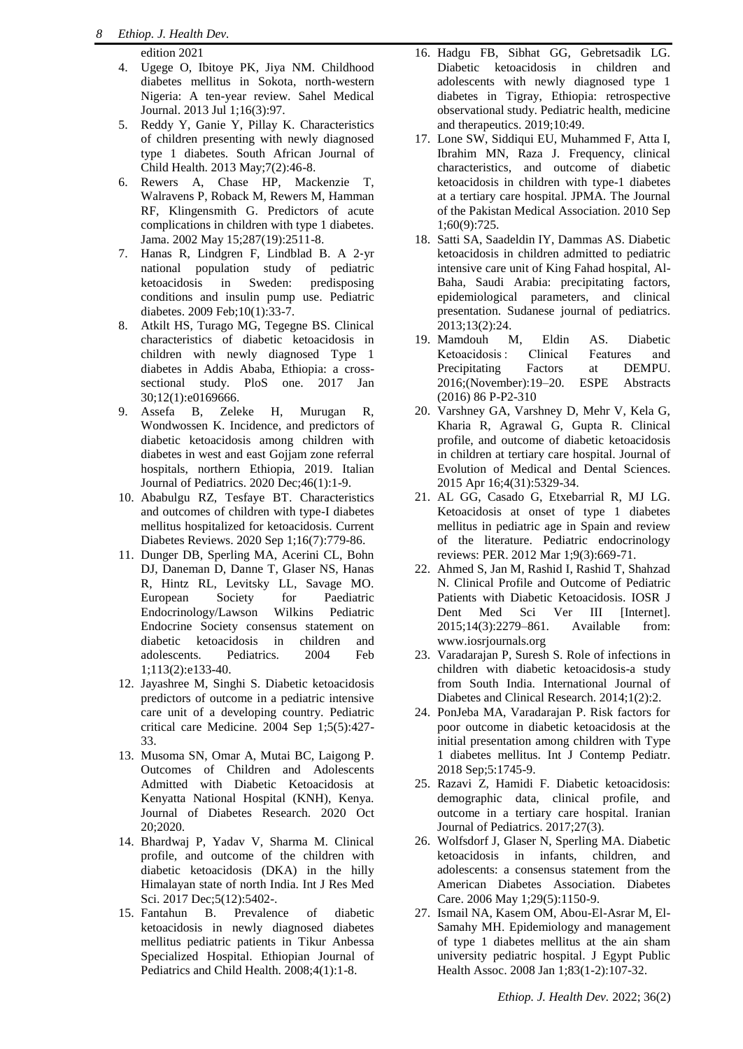[edition 2021](http://www.diabetesatlas.org/)

- 4. Ugege O, Ibitoye PK, Jiya NM. Childhood diabetes mellitus in Sokota, north-western Nigeria: A ten-year review. Sahel Medical Journal. 2013 Jul 1;16(3):97.
- 5. Reddy Y, Ganie Y, Pillay K. Characteristics of children presenting with newly diagnosed type 1 diabetes. South African Journal of Child Health. 2013 May;7(2):46-8.
- 6. Rewers A, Chase HP, Mackenzie T, Walravens P, Roback M, Rewers M, Hamman RF, Klingensmith G. Predictors of acute complications in children with type 1 diabetes. Jama. 2002 May 15;287(19):2511-8.
- 7. Hanas R, Lindgren F, Lindblad B. A 2‐yr national population study of pediatric ketoacidosis in Sweden: predisposing conditions and insulin pump use. Pediatric diabetes. 2009 Feb;10(1):33-7.
- 8. Atkilt HS, Turago MG, Tegegne BS. Clinical characteristics of diabetic ketoacidosis in children with newly diagnosed Type 1 diabetes in Addis Ababa, Ethiopia: a crosssectional study. PloS one. 2017 Jan 30;12(1):e0169666.
- 9. Assefa B, Zeleke H, Murugan R, Wondwossen K. Incidence, and predictors of diabetic ketoacidosis among children with diabetes in west and east Gojjam zone referral hospitals, northern Ethiopia, 2019. Italian Journal of Pediatrics. 2020 Dec;46(1):1-9.
- 10. Ababulgu RZ, Tesfaye BT. Characteristics and outcomes of children with type-I diabetes mellitus hospitalized for ketoacidosis. Current Diabetes Reviews. 2020 Sep 1;16(7):779-86.
- 11. Dunger DB, Sperling MA, Acerini CL, Bohn DJ, Daneman D, Danne T, Glaser NS, Hanas R, Hintz RL, Levitsky LL, Savage MO. European Society for Paediatric Endocrinology/Lawson Wilkins Pediatric Endocrine Society consensus statement on diabetic ketoacidosis in children and adolescents. Pediatrics. 2004 Feb 1;113(2):e133-40.
- 12. Jayashree M, Singhi S. Diabetic ketoacidosis predictors of outcome in a pediatric intensive care unit of a developing country. Pediatric critical care Medicine. 2004 Sep 1;5(5):427- 33.
- 13. Musoma SN, Omar A, Mutai BC, Laigong P. Outcomes of Children and Adolescents Admitted with Diabetic Ketoacidosis at Kenyatta National Hospital (KNH), Kenya. Journal of Diabetes Research. 2020 Oct 20;2020.
- 14. Bhardwaj P, Yadav V, Sharma M. Clinical profile, and outcome of the children with diabetic ketoacidosis (DKA) in the hilly Himalayan state of north India. Int J Res Med Sci. 2017 Dec;5(12):5402-.
- 15. Fantahun B. Prevalence of diabetic ketoacidosis in newly diagnosed diabetes mellitus pediatric patients in Tikur Anbessa Specialized Hospital. Ethiopian Journal of Pediatrics and Child Health. 2008;4(1):1-8.
- 16. Hadgu FB, Sibhat GG, Gebretsadik LG. Diabetic ketoacidosis in children and adolescents with newly diagnosed type 1 diabetes in Tigray, Ethiopia: retrospective observational study. Pediatric health, medicine and therapeutics. 2019;10:49.
- 17. Lone SW, Siddiqui EU, Muhammed F, Atta I, Ibrahim MN, Raza J. Frequency, clinical characteristics, and outcome of diabetic ketoacidosis in children with type-1 diabetes at a tertiary care hospital. JPMA. The Journal of the Pakistan Medical Association. 2010 Sep 1;60(9):725.
- 18. Satti SA, Saadeldin IY, Dammas AS. Diabetic ketoacidosis in children admitted to pediatric intensive care unit of King Fahad hospital, Al-Baha, Saudi Arabia: precipitating factors, epidemiological parameters, and clinical presentation. Sudanese journal of pediatrics. 2013;13(2):24.
- 19. Mamdouh M, Eldin AS. Diabetic Ketoacidosis : Clinical Features and Precipitating Factors at DEMPU. 2016;(November):19–20. ESPE Abstracts (2016) 86 P-P2-310
- 20. Varshney GA, Varshney D, Mehr V, Kela G, Kharia R, Agrawal G, Gupta R. Clinical profile, and outcome of diabetic ketoacidosis in children at tertiary care hospital. Journal of Evolution of Medical and Dental Sciences. 2015 Apr 16;4(31):5329-34.
- 21. AL GG, Casado G, Etxebarrial R, MJ LG. Ketoacidosis at onset of type 1 diabetes mellitus in pediatric age in Spain and review of the literature. Pediatric endocrinology reviews: PER. 2012 Mar 1;9(3):669-71.
- 22. Ahmed S, Jan M, Rashid I, Rashid T, Shahzad N. Clinical Profile and Outcome of Pediatric Patients with Diabetic Ketoacidosis. IOSR J Dent Med Sci Ver III [Internet]. 2015;14(3):2279–861. Available from: [www.iosrjournals.org](http://www.iosrjournals.org/)
- 23. Varadarajan P, Suresh S. Role of infections in children with diabetic ketoacidosis-a study from South India. International Journal of Diabetes and Clinical Research. 2014;1(2):2.
- 24. PonJeba MA, Varadarajan P. Risk factors for poor outcome in diabetic ketoacidosis at the initial presentation among children with Type 1 diabetes mellitus. Int J Contemp Pediatr. 2018 Sep;5:1745-9.
- 25. Razavi Z, Hamidi F. Diabetic ketoacidosis: demographic data, clinical profile, and outcome in a tertiary care hospital. Iranian Journal of Pediatrics. 2017;27(3).
- 26. Wolfsdorf J, Glaser N, Sperling MA. Diabetic ketoacidosis in infants, children, and adolescents: a consensus statement from the American Diabetes Association. Diabetes Care. 2006 May 1;29(5):1150-9.
- 27. Ismail NA, Kasem OM, Abou-El-Asrar M, El-Samahy MH. Epidemiology and management of type 1 diabetes mellitus at the ain sham university pediatric hospital. J Egypt Public Health Assoc. 2008 Jan 1;83(1-2):107-32.